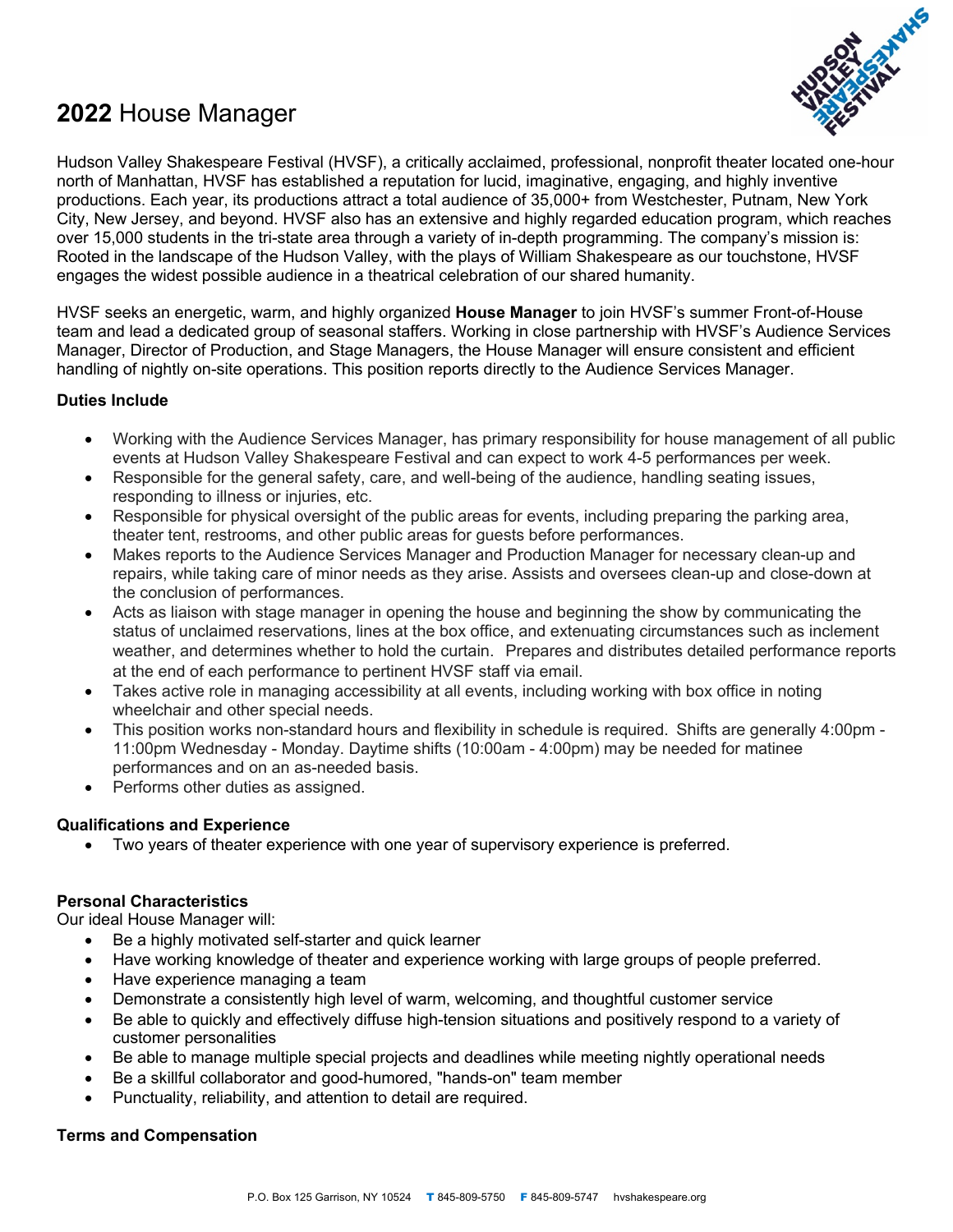# **2022** House Manager



Hudson Valley Shakespeare Festival (HVSF), a critically acclaimed, professional, nonprofit theater located one-hour north of Manhattan, HVSF has established a reputation for lucid, imaginative, engaging, and highly inventive productions. Each year, its productions attract a total audience of 35,000+ from Westchester, Putnam, New York City, New Jersey, and beyond. HVSF also has an extensive and highly regarded education program, which reaches over 15,000 students in the tri-state area through a variety of in-depth programming. The company's mission is: Rooted in the landscape of the Hudson Valley, with the plays of William Shakespeare as our touchstone, HVSF engages the widest possible audience in a theatrical celebration of our shared humanity.

HVSF seeks an energetic, warm, and highly organized **House Manager** to join HVSF's summer Front-of-House team and lead a dedicated group of seasonal staffers. Working in close partnership with HVSF's Audience Services Manager, Director of Production, and Stage Managers, the House Manager will ensure consistent and efficient handling of nightly on-site operations. This position reports directly to the Audience Services Manager.

## **Duties Include**

- Working with the Audience Services Manager, has primary responsibility for house management of all public events at Hudson Valley Shakespeare Festival and can expect to work 4-5 performances per week.
- Responsible for the general safety, care, and well-being of the audience, handling seating issues, responding to illness or injuries, etc.
- Responsible for physical oversight of the public areas for events, including preparing the parking area, theater tent, restrooms, and other public areas for guests before performances.
- Makes reports to the Audience Services Manager and Production Manager for necessary clean-up and repairs, while taking care of minor needs as they arise. Assists and oversees clean-up and close-down at the conclusion of performances.
- Acts as liaison with stage manager in opening the house and beginning the show by communicating the status of unclaimed reservations, lines at the box office, and extenuating circumstances such as inclement weather, and determines whether to hold the curtain.  Prepares and distributes detailed performance reports at the end of each performance to pertinent HVSF staff via email.
- Takes active role in managing accessibility at all events, including working with box office in noting wheelchair and other special needs.
- This position works non-standard hours and flexibility in schedule is required. Shifts are generally 4:00pm -11:00pm Wednesday - Monday. Daytime shifts (10:00am - 4:00pm) may be needed for matinee performances and on an as-needed basis.
- Performs other duties as assigned.

## **Qualifications and Experience**

• Two years of theater experience with one year of supervisory experience is preferred.

## **Personal Characteristics**

Our ideal House Manager will:

- Be a highly motivated self-starter and quick learner
- Have working knowledge of theater and experience working with large groups of people preferred.
- Have experience managing a team
- Demonstrate a consistently high level of warm, welcoming, and thoughtful customer service
- Be able to quickly and effectively diffuse high-tension situations and positively respond to a variety of customer personalities
- Be able to manage multiple special projects and deadlines while meeting nightly operational needs
- Be a skillful collaborator and good-humored, "hands-on" team member
- Punctuality, reliability, and attention to detail are required.

## **Terms and Compensation**